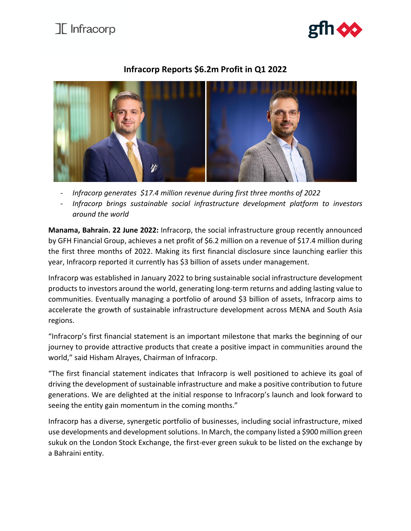## $\mathbb{I}$  Infracorp



## **Infracorp Reports \$6.2m Profit in Q1 2022**



- *Infracorp generates \$17.4 million revenue during first three months of 2022*

- *Infracorp brings sustainable social infrastructure development platform to investors around the world*

**Manama, Bahrain. 22 June 2022:** Infracorp, the social infrastructure group recently announced by GFH Financial Group, achieves a net profit of \$6.2 million on a revenue of \$17.4 million during the first three months of 2022. Making its first financial disclosure since launching earlier this year, Infracorp reported it currently has \$3 billion of assets under management.

Infracorp was established in January 2022 to bring sustainable social infrastructure development products to investors around the world, generating long-term returns and adding lasting value to communities. Eventually managing a portfolio of around \$3 billion of assets, Infracorp aims to accelerate the growth of sustainable infrastructure development across MENA and South Asia regions.

"Infracorp's first financial statement is an important milestone that marks the beginning of our journey to provide attractive products that create a positive impact in communities around the world," said Hisham Alrayes, Chairman of Infracorp.

"The first financial statement indicates that Infracorp is well positioned to achieve its goal of driving the development of sustainable infrastructure and make a positive contribution to future generations. We are delighted at the initial response to Infracorp's launch and look forward to seeing the entity gain momentum in the coming months."

Infracorp has a diverse, synergetic portfolio of businesses, including social infrastructure, mixed use developments and development solutions. In March, the company listed a \$900 million green sukuk on the London Stock Exchange, the first-ever green sukuk to be listed on the exchange by a Bahraini entity.